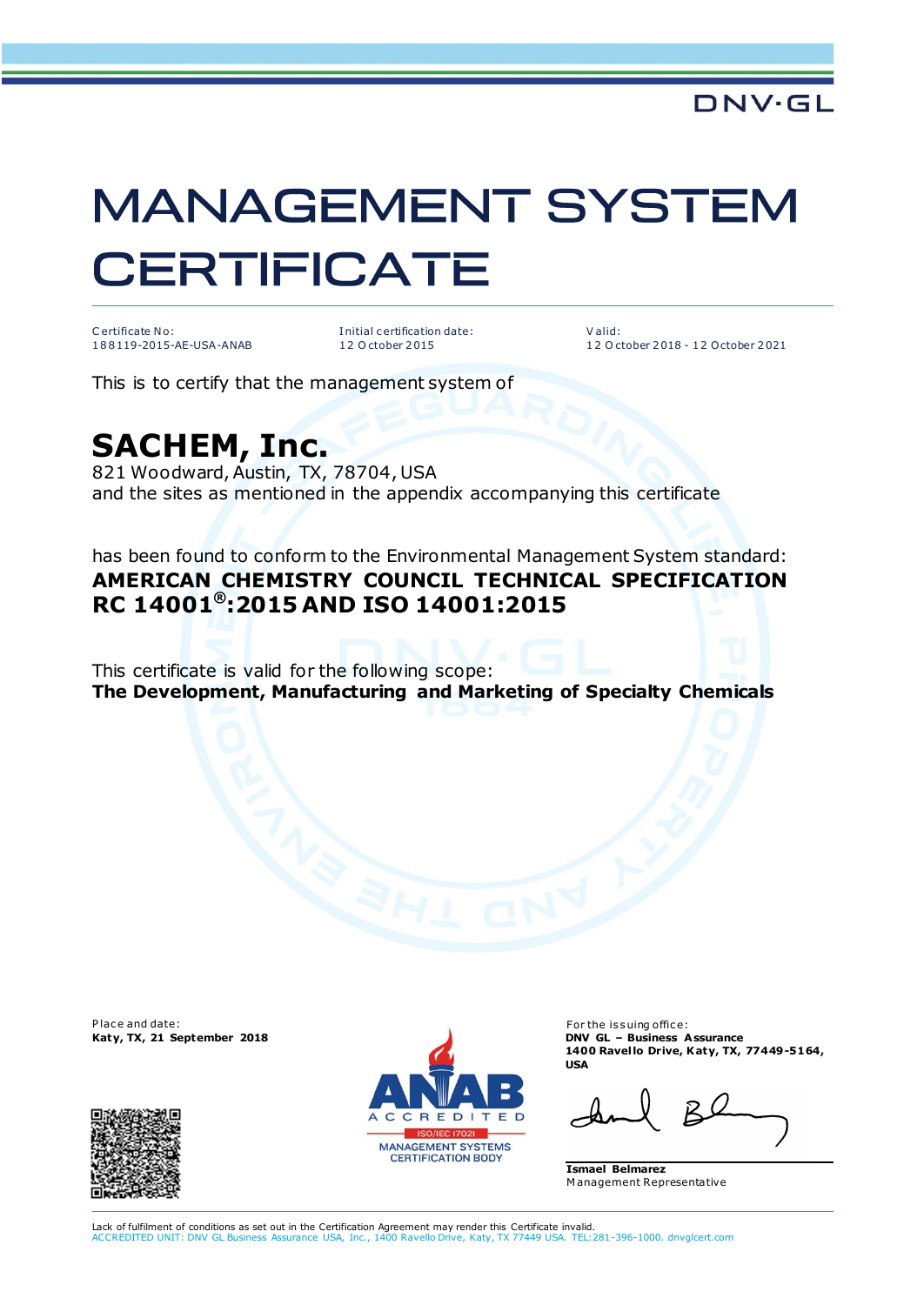## **MANAGEMENT SYSTEM CERTIFICATE**

C ertificate No: 1 8 8 119-2015-AE-USA-ANAB I nitial c ertification date: 1 2 O ctober 2 015

V alid: 1 2 O ctober 2 018 - 1 2 October 2 021

This is to certify that the management system of

## **SACHEM, Inc.**

821 Woodward, Austin, TX, 78704, USA and the sites as mentioned in the appendix accompanying this certificate

has been found to conform to the Environmental Management System standard: **AMERICAN CHEMISTRY COUNCIL TECHNICAL SPECIFICATION RC 14001® :2015 AND ISO 14001:2015**

This certificate is valid for the following scope: **The Development, Manufacturing and Marketing of Specialty Chemicals**

Place and date:





For the issuing office: **Katy, TX, 21 September 2018 DNV GL – Business Assurance 1400 Ravel lo Drive, Katy, TX, 77449-5164, USA**

**Ismael Belmarez**  M anagement Representative

Lack of fulfilment of conditions as set out in the Certification Agreement may render this Certificate invalid. ACCREDITED UNIT: DNV GL Business Assurance USA, Inc., 1400 Ravello Drive, Katy, TX 77449 USA. TEL:281-396-1000. dnvglcert.com